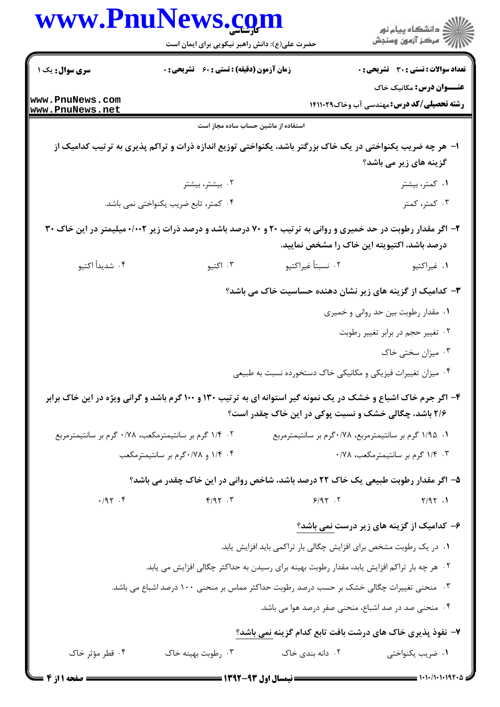|                                    | www.PnuNews.co<br>حضرت علی(ع): دانش راهبر نیکویی برای ایمان است                                                 |                                                                    | ≦ دانشڪاه پيام نور<br>7- مرڪز آزمون وسنڊش                                            |
|------------------------------------|-----------------------------------------------------------------------------------------------------------------|--------------------------------------------------------------------|--------------------------------------------------------------------------------------|
| <b>سری سوال :</b> یک ۱             | <b>زمان آزمون (دقیقه) : تستی : 60 ٪ تشریحی : 0</b>                                                              |                                                                    | <b>تعداد سوالات : تستی : 30 ٪ تشریحی : 0</b>                                         |
| www.PnuNews.com<br>www.PnuNews.net |                                                                                                                 |                                                                    | <b>عنـــوان درس:</b> مکانیک خاک<br><b>رشته تحصیلی/کد درس:</b> مهندسی آب وخاک14110 14 |
|                                    | استفاده از ماشین حساب ساده مجاز است                                                                             |                                                                    |                                                                                      |
|                                    | ا– هر چه ضریب یکنواختی در یک خاک بزرگتر باشد، یکنواختی توزیع اندازه ذرات و تراکم پذیری به ترتیب کدامیک از       |                                                                    | گزینه های زیر می باشد؟                                                               |
|                                    | ۰۲ بیشتر، بیشتر                                                                                                 |                                                                    | ۰۱ کمتر، بیشتر                                                                       |
|                                    | ۰۴ کمتر، تابع ضریب یکنواختی نمی باشد.                                                                           |                                                                    | ۰۳ کمتر، کمتر                                                                        |
|                                    | ۲- اگر مقدار رطوبت در حد خمیری و روانی به ترتیب ۲۰ و ۷۰ درصد باشد و درصد ذرات زیر ۰/۰۰۲ میلیمتر در این خاک ۳۰   | درصد باشد، اکتیویته این خاک را مشخص نمایید.                        |                                                                                      |
| ۰۴ شديداً اكتيو                    | ۰۳ اکتيو                                                                                                        | ٠٢ نسبتاً غيراكتيو                                                 | ٠١ غيراكتيو                                                                          |
|                                    |                                                                                                                 | ۳- کدامیک از گزینه های زیر نشان دهنده حساسیت خاک می باشد؟          |                                                                                      |
|                                    |                                                                                                                 |                                                                    | ۰۱ مقدار رطوبت بین حد روانی و خمیری                                                  |
|                                    |                                                                                                                 |                                                                    | ۰۲ تغییر حجم در برابر تغییر رطوبت                                                    |
|                                    |                                                                                                                 |                                                                    | ۰۳ میزان سختی خاک                                                                    |
|                                    |                                                                                                                 | ۰۴ میزان تغییرات فیزیکی و مکانیکی خاک دستخورده نسبت به طبیعی       |                                                                                      |
|                                    | ۴- اگر جرم خاک اشباع و خشک در یک نمونه گیر استوانه ای به ترتیب ۱۳۰ و ۱۰۰ گرم باشد و گرانی ویژه در این خاک برابر | ۲/۶ باشد، چگالی خشک و نسبت پوکی در این خاک چقدر است؟               |                                                                                      |
|                                    | ۰۲ ۱/۴ گرم بر سانتیمترمکعب، ۰/۷۸ گرم بر سانتیمترمربع                                                            | ۰۱ ۱/۹۵ گرم بر سانتیمترمربع، ۰/۷۸ گرم بر سانتیمترمربع              |                                                                                      |
|                                    | ۰۴ ۱/۴ و ۰/۷۸ گرم بر سانتیمترمکعب                                                                               |                                                                    | ۰۳ ۱/۴ گرم بر سانتيمترمكعب، ۰/۷۸                                                     |
|                                    | ۵– اگر مقدار رطوبت طبیعی یک خاک ۲۲ درصد باشد، شاخص روانی در این خاک چقدر می باشد؟                               |                                                                    |                                                                                      |
| 4.191                              | $Y$ . $Y$                                                                                                       | 9/97.7                                                             | Y/9Y.1                                                                               |
|                                    |                                                                                                                 |                                                                    | ۶– کدامیک از گزینه های زیر درست <u>نمی</u> باشد؟                                     |
|                                    |                                                                                                                 | ۰۱ در یک رطوبت مشخص برای افزایش چگالی بار تراکمی باید افزایش یابد. |                                                                                      |
|                                    | ۰۲ هر چه بار تراکم افزایش یابد، مقدار رطوبت بهینه برای رسیدن به حداکثر چگالی افزایش می یابد.                    |                                                                    |                                                                                      |
|                                    | ۰۳ منحنی تغییرات چگالی خشک بر حسب درصد رطوبت حداکثر مماس بر منحنی ۱۰۰ درصد اشباع می باشد.                       |                                                                    |                                                                                      |
|                                    |                                                                                                                 | ۰۴ منحنی صد در صد اشباع، منحنی صفر درصد هوا می باشد.               |                                                                                      |
|                                    |                                                                                                                 | ۷- نفوذ پذیری خاک های درشت بافت تابع کدام گزینه نمی باشد؟          |                                                                                      |
| ۰۴ قطر مؤثر خاک                    | ۰۳ رطوبت بهينه خاک                                                                                              | ۰۲ دانه بندی خاک                                                   | ۰۱ ضریب یکنواختی                                                                     |
|                                    |                                                                                                                 | $\blacksquare$ (Way aw i.i ii ) $\blacksquare$                     | $\equiv$ 1.1./1.1.197. $\wedge$                                                      |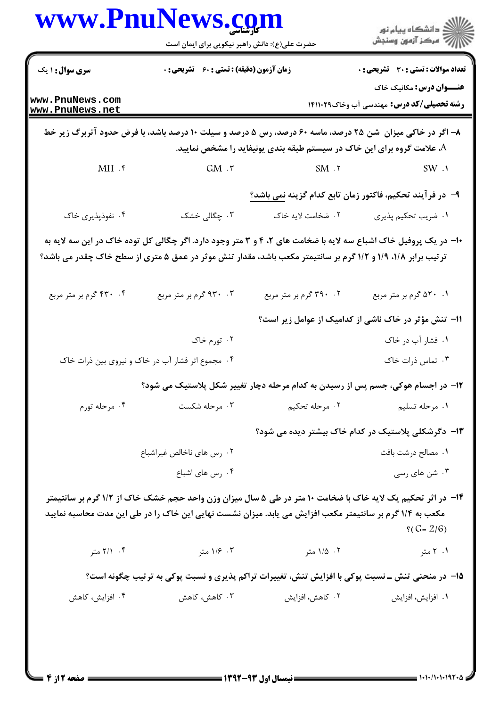|                                    | حضرت علی(ع): دانش راهبر نیکویی برای ایمان است    |                                                                                                                                                                                                                                | ر دانشڪاه پيام نور<br>اڳ مرڪز آزمون وسنڊش                                           |
|------------------------------------|--------------------------------------------------|--------------------------------------------------------------------------------------------------------------------------------------------------------------------------------------------------------------------------------|-------------------------------------------------------------------------------------|
| <b>سری سوال : ۱ یک</b>             | زمان آزمون (دقیقه) : تستی : 60 ٪ تشریحی : 0      |                                                                                                                                                                                                                                | <b>تعداد سوالات : تستی : 30 ٪ تشریحی : 0</b>                                        |
| www.PnuNews.com<br>www.PnuNews.net |                                                  |                                                                                                                                                                                                                                | <b>عنـــوان درس:</b> مکانیک خاک<br><b>رشته تحصیلی/کد درس: مهندسی آب وخاک14113 ا</b> |
|                                    |                                                  | ۸– اگر در خاکی میزان  شن ۲۵ درصد، ماسه ۶۰ درصد، رس ۵ درصد و سیلت ۱۰ درصد باشد، با فرض حدود آتربرگ زیر خط<br>علامت گروه برای این خاک در سیستم طبقه بندی یونیفاید را مشخص نمایید. $A$                                            |                                                                                     |
| MH.                                | $GM \cdot r$                                     | $SM \tcdot Y$                                                                                                                                                                                                                  | SW.1                                                                                |
|                                    |                                                  | ۹– در فرآیند تحکیم، فاکتور زمان تابع کدام گزینه نمی باشد؟                                                                                                                                                                      |                                                                                     |
| ۰۴ نفوذپذیری خاک                   | ۰۳ چگالی خشک                                     | ٢. ضخامت لايه خاک                                                                                                                                                                                                              | ٠١ ضريب تحكيم پذيري                                                                 |
|                                    |                                                  | ∙۱- در یک پروفیل خاک اشباع سه لایه با ضخامت های ۲، ۴ و ۳ متر وجود دارد. اگر چگالی کل توده خاک در این سه لایه به<br>ترتیب برابر ۱/۸، ۱/۹ و ۱/۲ گرم بر سانتیمتر مکعب باشد، مقدار تنش موثر در عمق ۵ متری از سطح خاک چقدر می باشد؟ |                                                                                     |
| ۴. ۴۳۰ گرم بر متر مربع             | ۰۳ . ۹۳۰ گرم بر متر مربع                         | ۰۲ . ۳۹۰ گرم بر متر مربع                                                                                                                                                                                                       | ۰۱ ۵۲۰ گرم بر متر مربع                                                              |
|                                    |                                                  |                                                                                                                                                                                                                                | 11- تنش مؤثر در خاک ناشی از کدامیک از عوامل زیر است؟                                |
|                                    | ۰۲ تورم خاک                                      |                                                                                                                                                                                                                                | ۰۱ فشار آب در خاک                                                                   |
|                                    | ۰۴ مجموع اثر فشار آب در خاک و نیروی بین ذرات خاک |                                                                                                                                                                                                                                | ۰۳ تماس ذرات خاک                                                                    |
|                                    |                                                  | ۱۲- در اجسام هوکی، جسم پس از رسیدن به کدام مرحله دچار تغییر شکل پلاستیک می شود؟                                                                                                                                                |                                                                                     |
| ۰۴ مرحله تورم                      | ۰۳ مرحله شکست                                    | ۰۲ مرحله تحکیم                                                                                                                                                                                                                 | ۰۱ مرحله تسلیم                                                                      |
|                                    |                                                  |                                                                                                                                                                                                                                | ۱۳- دگرشکلی پلاستیک در کدام خاک بیشتر دیده می شود؟                                  |
|                                    | ۰۲ رس های ناخالص غیراشباع                        |                                                                                                                                                                                                                                | ٠١ مصالح درشت بافت                                                                  |
|                                    | ۰۴ رس های اشباع                                  |                                                                                                                                                                                                                                | ۰۳ شن های رسی                                                                       |
|                                    |                                                  | ۱۴– در اثر تحکیم یک لایه خاک با ضخامت ۱۰ متر در طی ۵ سال میزان وزن واحد حجم خشک خاک از ۱/۲ گرم بر سانتیمتر<br>مکعب به ۱/۴ گرم بر سانتیمتر مکعب افزایش می یابد. میزان نشست نهایی این خاک را در طی این مدت محاسبه نمایید         | $\frac{6}{5}$ (G= 2/6)                                                              |
| ۰۴ ۲/۱ متر                         | ۰۳ ۱/۶ متر                                       | ۰۲ ۱/۵ متر                                                                                                                                                                                                                     | ۰۱ ۲ متر                                                                            |
|                                    |                                                  | ۱۵– در منحنی تنش ـ نسبت پوکی با افزایش تنش، تغییرات تراکم پذیری و نسبت پوکی به ترتیب چگونه است؟                                                                                                                                |                                                                                     |
| ۰۴ افزایش، کاهش                    | ۰۳ کاهش، کاهش                                    | ۰۲ کاهش، افزایش                                                                                                                                                                                                                | ۰۱ افزايش، افزايش                                                                   |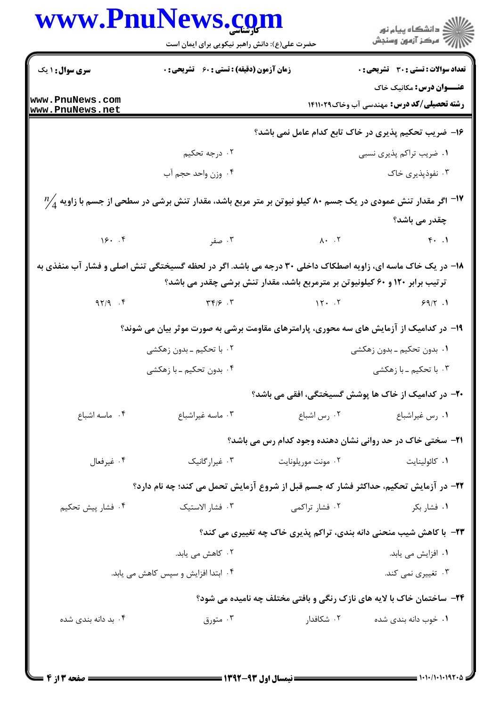| www.PnuNews.com                    | حضرت علی(ع): دانش راهبر نیکویی برای ایمان است                                                                                                      |                                                                              | ڪ دانشڪاه پيام نور<br>ر∕⊂ مرڪز آزمون وسنڊش                                          |
|------------------------------------|----------------------------------------------------------------------------------------------------------------------------------------------------|------------------------------------------------------------------------------|-------------------------------------------------------------------------------------|
| سری سوال: ۱ یک                     | <b>زمان آزمون (دقیقه) : تستی : 60 ٪ تشریحی : 0</b>                                                                                                 |                                                                              | <b>تعداد سوالات : تستی : 30 ٪ تشریحی : 0</b>                                        |
| www.PnuNews.com<br>www.PnuNews.net |                                                                                                                                                    |                                                                              | <b>عنـــوان درس:</b> مکانیک خاک<br><b>رشته تحصیلی/کد درس: م</b> هندسی آب وخاک141119 |
|                                    |                                                                                                                                                    |                                                                              | ۱۶- ضریب تحکیم پذیری در خاک تابع کدام عامل نمی باشد؟                                |
|                                    | ۰۲ درجه تحکیم                                                                                                                                      |                                                                              | ۰۱ ضریب تراکم پذیری نسبی                                                            |
|                                    | ۰۴ وزن واحد حجم آب                                                                                                                                 |                                                                              | ۰۳ نفوذپذیری خاک                                                                    |
|                                    | $\frac{\eta\prime}{4}$ اگر مقدار تنش عمودی در یک جسم ۸۰ کیلو نیوتن بر متر مربع باشد، مقدار تنش برشی در سطحی از جسم با زاویه $\frac{\eta\prime}{4}$ |                                                                              |                                                                                     |
|                                    |                                                                                                                                                    |                                                                              | چقدر می باشد؟                                                                       |
|                                    | ۲. ۸۰ تا ۲. مقر است کا ۱۶۰ کل                                                                                                                      |                                                                              | $\uparrow$ . $\uparrow$                                                             |
|                                    | ۱۸- در یک خاک ماسه ای، زاویه اصطکاک داخلی ۳۰ درجه می باشد. اگر در لحظه گسیختگی تنش اصلی و فشار آب منفذی به                                         | ترتیب برابر ۱۲۰ و ۶۰ کیلونیوتن بر مترمربع باشد، مقدار تنش برشی چقدر می باشد؟ |                                                                                     |
| 97/9.7                             | $\tau \in \mathcal{S}$ . $\tau$                                                                                                                    | 17.7                                                                         | 99/7.1                                                                              |
|                                    | ۱۹– در کدامیک از آزمایش های سه محوری، پارامترهای مقاومت برشی به صورت موثر بیان می شوند؟                                                            |                                                                              |                                                                                     |
|                                    | ۰۲ با تحکیم ــ بدون زهکشی                                                                                                                          |                                                                              | ۰۱ بدون تحکیم ـ بدون زهکشی                                                          |
|                                    | ۰۴ بدون تحکیم ـ با زهکشی                                                                                                                           |                                                                              | ۰۳ با تحکیم ـ با زهکشی                                                              |
|                                    |                                                                                                                                                    |                                                                              | <b>۲۰</b> – در کدامیک از خاک ها پوشش گسیختگی، افقی می باشد؟                         |
| ۰۴ ماسه اشباع                      | ۰۳ ماسه غیراشباع                                                                                                                                   | ۰۲ رس اشباع                                                                  | ٠١ رس غيراشباع                                                                      |
|                                    |                                                                                                                                                    |                                                                              | <b>۲۱</b> - سختی خاک در حد روانی نشان دهنده وجود کدام رس می باشد؟                   |
| ۰۴ غيرفعال                         | ۰۳ غیرارگانیک                                                                                                                                      | ۰۲ مونت موریلونایت                                                           | ۰۱ كائولينايت                                                                       |
|                                    | ۲۲- در آزمایش تحکیم، حداکثر فشار که جسم قبل از شروع آزمایش تحمل می کند؛ چه نام دارد؟                                                               |                                                                              |                                                                                     |
| ۰۴ فشار پیش تحکیم                  | ۰۳ فشار الاستيک                                                                                                                                    | ۰۲ فشار تراکمی                                                               | ۰۱ فشار بکر                                                                         |
|                                    |                                                                                                                                                    |                                                                              | ۲۳- با کاهش شیب منحنی دانه بندی، تراکم پذیری خاک چه تغییری می کند؟                  |
|                                    | ۰۲ کاهش می یابد.                                                                                                                                   |                                                                              | ۰۱ افزایش می یابد.                                                                  |
|                                    | ۰۴ ابتدا افزایش و سپس کاهش می یابد.                                                                                                                |                                                                              | ۰۳ تغییری نمی کند.                                                                  |
|                                    |                                                                                                                                                    |                                                                              | <b>۲۴</b> - ساختمان خاک با لایه های نازک رنگی و بافتی مختلف چه نامیده می شود؟       |
| ۰۴ بد دانه بندی شده                | متورق $\cdot$ ۳ $\cdot$                                                                                                                            | ۰۲ شکافدار                                                                   | ۰۱ خوب دانه بندی شده                                                                |